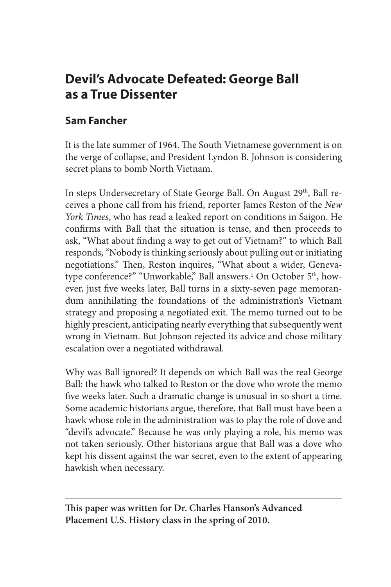# **Devil's Advocate Defeated: George Ball as a True Dissenter**

## **Sam Fancher**

It is the late summer of 1964. The South Vietnamese government is on the verge of collapse, and President Lyndon B. Johnson is considering secret plans to bomb North Vietnam.

In steps Undersecretary of State George Ball. On August 29<sup>th</sup>, Ball receives a phone call from his friend, reporter James Reston of the *New York Times*, who has read a leaked report on conditions in Saigon. He confirms with Ball that the situation is tense, and then proceeds to ask, "What about finding a way to get out of Vietnam?" to which Ball responds, "Nobody is thinking seriously about pulling out or initiating negotiations." Then, Reston inquires, "What about a wider, Genevatype conference?" "Unworkable," Ball answers.<sup>1</sup> On October 5<sup>th</sup>, however, just five weeks later, Ball turns in a sixty-seven page memorandum annihilating the foundations of the administration's Vietnam strategy and proposing a negotiated exit. The memo turned out to be highly prescient, anticipating nearly everything that subsequently went wrong in Vietnam. But Johnson rejected its advice and chose military escalation over a negotiated withdrawal.

Why was Ball ignored? It depends on which Ball was the real George Ball: the hawk who talked to Reston or the dove who wrote the memo five weeks later. Such a dramatic change is unusual in so short a time. Some academic historians argue, therefore, that Ball must have been a hawk whose role in the administration was to play the role of dove and "devil's advocate." Because he was only playing a role, his memo was not taken seriously. Other historians argue that Ball was a dove who kept his dissent against the war secret, even to the extent of appearing hawkish when necessary.

**This paper was written for Dr. Charles Hanson's Advanced Placement U.S. History class in the spring of 2010.**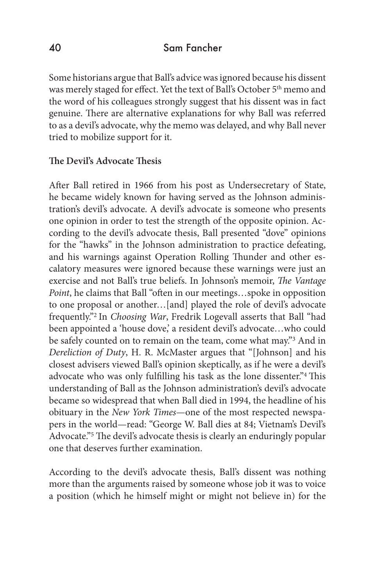#### 40 Sam Fancher

Some historians argue that Ball's advice was ignored because his dissent was merely staged for effect. Yet the text of Ball's October 5<sup>th</sup> memo and the word of his colleagues strongly suggest that his dissent was in fact genuine. There are alternative explanations for why Ball was referred to as a devil's advocate, why the memo was delayed, and why Ball never tried to mobilize support for it.

#### **The Devil's Advocate Thesis**

After Ball retired in 1966 from his post as Undersecretary of State, he became widely known for having served as the Johnson administration's devil's advocate. A devil's advocate is someone who presents one opinion in order to test the strength of the opposite opinion. According to the devil's advocate thesis, Ball presented "dove" opinions for the "hawks" in the Johnson administration to practice defeating, and his warnings against Operation Rolling Thunder and other escalatory measures were ignored because these warnings were just an exercise and not Ball's true beliefs. In Johnson's memoir, *The Vantage Point*, he claims that Ball "often in our meetings…spoke in opposition to one proposal or another…[and] played the role of devil's advocate frequently."2 In *Choosing War*, Fredrik Logevall asserts that Ball "had been appointed a 'house dove,' a resident devil's advocate…who could be safely counted on to remain on the team, come what may."3 And in *Dereliction of Duty*, H. R. McMaster argues that "[Johnson] and his closest advisers viewed Ball's opinion skeptically, as if he were a devil's advocate who was only fulfilling his task as the lone dissenter."4 This understanding of Ball as the Johnson administration's devil's advocate became so widespread that when Ball died in 1994, the headline of his obituary in the *New York Times*—one of the most respected newspapers in the world—read: "George W. Ball dies at 84; Vietnam's Devil's Advocate."5 The devil's advocate thesis is clearly an enduringly popular one that deserves further examination.

According to the devil's advocate thesis, Ball's dissent was nothing more than the arguments raised by someone whose job it was to voice a position (which he himself might or might not believe in) for the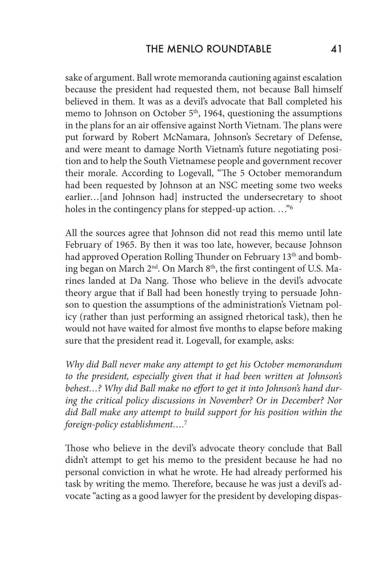sake of argument. Ball wrote memoranda cautioning against escalation because the president had requested them, not because Ball himself believed in them. It was as a devil's advocate that Ball completed his memo to Johnson on October 5<sup>th</sup>, 1964, questioning the assumptions in the plans for an air offensive against North Vietnam. The plans were put forward by Robert McNamara, Johnson's Secretary of Defense, and were meant to damage North Vietnam's future negotiating position and to help the South Vietnamese people and government recover their morale. According to Logevall, "The 5 October memorandum had been requested by Johnson at an NSC meeting some two weeks earlier…[and Johnson had] instructed the undersecretary to shoot holes in the contingency plans for stepped-up action. ..."<sup>6</sup>

All the sources agree that Johnson did not read this memo until late February of 1965. By then it was too late, however, because Johnson had approved Operation Rolling Thunder on February 13<sup>th</sup> and bombing began on March 2<sup>nd</sup>. On March 8<sup>th</sup>, the first contingent of U.S. Marines landed at Da Nang. Those who believe in the devil's advocate theory argue that if Ball had been honestly trying to persuade Johnson to question the assumptions of the administration's Vietnam policy (rather than just performing an assigned rhetorical task), then he would not have waited for almost five months to elapse before making sure that the president read it. Logevall, for example, asks:

*Why did Ball never make any attempt to get his October memorandum to the president, especially given that it had been written at Johnson's behest…? Why did Ball make no effort to get it into Johnson's hand during the critical policy discussions in November? Or in December? Nor did Ball make any attempt to build support for his position within the foreign-policy establishment….*<sup>7</sup>

Those who believe in the devil's advocate theory conclude that Ball didn't attempt to get his memo to the president because he had no personal conviction in what he wrote. He had already performed his task by writing the memo. Therefore, because he was just a devil's advocate "acting as a good lawyer for the president by developing dispas-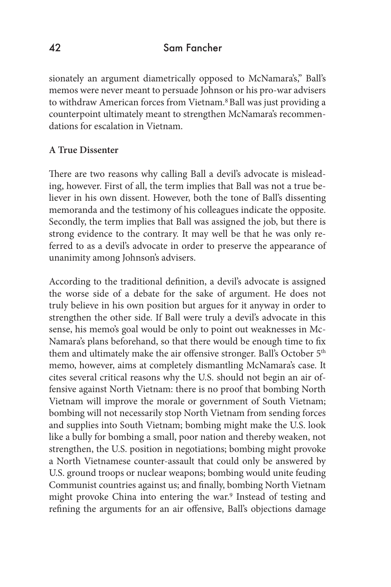### 42 Sam Fancher

sionately an argument diametrically opposed to McNamara's," Ball's memos were never meant to persuade Johnson or his pro-war advisers to withdraw American forces from Vietnam.8 Ball was just providing a counterpoint ultimately meant to strengthen McNamara's recommendations for escalation in Vietnam.

#### **A True Dissenter**

There are two reasons why calling Ball a devil's advocate is misleading, however. First of all, the term implies that Ball was not a true believer in his own dissent. However, both the tone of Ball's dissenting memoranda and the testimony of his colleagues indicate the opposite. Secondly, the term implies that Ball was assigned the job, but there is strong evidence to the contrary. It may well be that he was only referred to as a devil's advocate in order to preserve the appearance of unanimity among Johnson's advisers.

According to the traditional definition, a devil's advocate is assigned the worse side of a debate for the sake of argument. He does not truly believe in his own position but argues for it anyway in order to strengthen the other side. If Ball were truly a devil's advocate in this sense, his memo's goal would be only to point out weaknesses in Mc-Namara's plans beforehand, so that there would be enough time to fix them and ultimately make the air offensive stronger. Ball's October 5<sup>th</sup> memo, however, aims at completely dismantling McNamara's case. It cites several critical reasons why the U.S. should not begin an air offensive against North Vietnam: there is no proof that bombing North Vietnam will improve the morale or government of South Vietnam; bombing will not necessarily stop North Vietnam from sending forces and supplies into South Vietnam; bombing might make the U.S. look like a bully for bombing a small, poor nation and thereby weaken, not strengthen, the U.S. position in negotiations; bombing might provoke a North Vietnamese counter-assault that could only be answered by U.S. ground troops or nuclear weapons; bombing would unite feuding Communist countries against us; and finally, bombing North Vietnam might provoke China into entering the war.<sup>9</sup> Instead of testing and refining the arguments for an air offensive, Ball's objections damage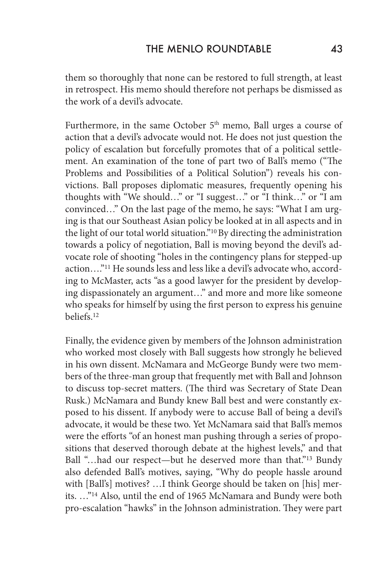them so thoroughly that none can be restored to full strength, at least in retrospect. His memo should therefore not perhaps be dismissed as the work of a devil's advocate.

Furthermore, in the same October 5<sup>th</sup> memo, Ball urges a course of action that a devil's advocate would not. He does not just question the policy of escalation but forcefully promotes that of a political settlement. An examination of the tone of part two of Ball's memo ("The Problems and Possibilities of a Political Solution") reveals his convictions. Ball proposes diplomatic measures, frequently opening his thoughts with "We should…" or "I suggest…" or "I think…" or "I am convinced…" On the last page of the memo, he says: "What I am urging is that our Southeast Asian policy be looked at in all aspects and in the light of our total world situation."10 By directing the administration towards a policy of negotiation, Ball is moving beyond the devil's advocate role of shooting "holes in the contingency plans for stepped-up action…."11 He sounds less and less like a devil's advocate who, according to McMaster, acts "as a good lawyer for the president by developing dispassionately an argument…" and more and more like someone who speaks for himself by using the first person to express his genuine beliefs.12

Finally, the evidence given by members of the Johnson administration who worked most closely with Ball suggests how strongly he believed in his own dissent. McNamara and McGeorge Bundy were two members of the three-man group that frequently met with Ball and Johnson to discuss top-secret matters. (The third was Secretary of State Dean Rusk.) McNamara and Bundy knew Ball best and were constantly exposed to his dissent. If anybody were to accuse Ball of being a devil's advocate, it would be these two. Yet McNamara said that Ball's memos were the efforts "of an honest man pushing through a series of propositions that deserved thorough debate at the highest levels," and that Ball "...had our respect—but he deserved more than that."<sup>13</sup> Bundy also defended Ball's motives, saying, "Why do people hassle around with [Ball's] motives? …I think George should be taken on [his] merits. …"14 Also, until the end of 1965 McNamara and Bundy were both pro-escalation "hawks" in the Johnson administration. They were part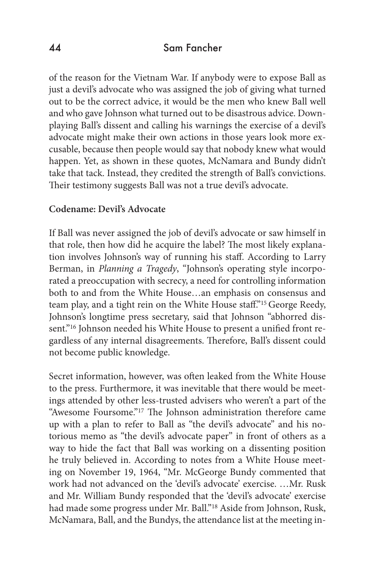#### 44 Sam Fancher

of the reason for the Vietnam War. If anybody were to expose Ball as just a devil's advocate who was assigned the job of giving what turned out to be the correct advice, it would be the men who knew Ball well and who gave Johnson what turned out to be disastrous advice. Downplaying Ball's dissent and calling his warnings the exercise of a devil's advocate might make their own actions in those years look more excusable, because then people would say that nobody knew what would happen. Yet, as shown in these quotes, McNamara and Bundy didn't take that tack. Instead, they credited the strength of Ball's convictions. Their testimony suggests Ball was not a true devil's advocate.

#### **Codename: Devil's Advocate**

If Ball was never assigned the job of devil's advocate or saw himself in that role, then how did he acquire the label? The most likely explanation involves Johnson's way of running his staff. According to Larry Berman, in *Planning a Tragedy*, "Johnson's operating style incorporated a preoccupation with secrecy, a need for controlling information both to and from the White House…an emphasis on consensus and team play, and a tight rein on the White House staff."15 George Reedy, Johnson's longtime press secretary, said that Johnson "abhorred dissent."<sup>16</sup> Johnson needed his White House to present a unified front regardless of any internal disagreements. Therefore, Ball's dissent could not become public knowledge.

Secret information, however, was often leaked from the White House to the press. Furthermore, it was inevitable that there would be meetings attended by other less-trusted advisers who weren't a part of the "Awesome Foursome."17 The Johnson administration therefore came up with a plan to refer to Ball as "the devil's advocate" and his notorious memo as "the devil's advocate paper" in front of others as a way to hide the fact that Ball was working on a dissenting position he truly believed in. According to notes from a White House meeting on November 19, 1964, "Mr. McGeorge Bundy commented that work had not advanced on the 'devil's advocate' exercise. …Mr. Rusk and Mr. William Bundy responded that the 'devil's advocate' exercise had made some progress under Mr. Ball."18 Aside from Johnson, Rusk, McNamara, Ball, and the Bundys, the attendance list at the meeting in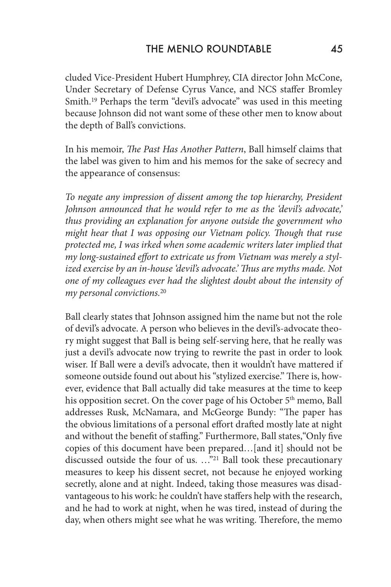cluded Vice-President Hubert Humphrey, CIA director John McCone, Under Secretary of Defense Cyrus Vance, and NCS staffer Bromley Smith.<sup>19</sup> Perhaps the term "devil's advocate" was used in this meeting because Johnson did not want some of these other men to know about the depth of Ball's convictions.

In his memoir, *The Past Has Another Pattern*, Ball himself claims that the label was given to him and his memos for the sake of secrecy and the appearance of consensus:

*To negate any impression of dissent among the top hierarchy, President Johnson announced that he would refer to me as the 'devil's advocate,' thus providing an explanation for anyone outside the government who might hear that I was opposing our Vietnam policy. Though that ruse protected me, I was irked when some academic writers later implied that my long-sustained effort to extricate us from Vietnam was merely a stylized exercise by an in-house 'devil's advocate.' Thus are myths made. Not one of my colleagues ever had the slightest doubt about the intensity of my personal convictions.*<sup>20</sup>

Ball clearly states that Johnson assigned him the name but not the role of devil's advocate. A person who believes in the devil's-advocate theory might suggest that Ball is being self-serving here, that he really was just a devil's advocate now trying to rewrite the past in order to look wiser. If Ball were a devil's advocate, then it wouldn't have mattered if someone outside found out about his "stylized exercise." There is, however, evidence that Ball actually did take measures at the time to keep his opposition secret. On the cover page of his October 5<sup>th</sup> memo, Ball addresses Rusk, McNamara, and McGeorge Bundy: "The paper has the obvious limitations of a personal effort drafted mostly late at night and without the benefit of staffing." Furthermore, Ball states,"Only five copies of this document have been prepared…[and it] should not be discussed outside the four of us. …"21 Ball took these precautionary measures to keep his dissent secret, not because he enjoyed working secretly, alone and at night. Indeed, taking those measures was disadvantageous to his work: he couldn't have staffers help with the research, and he had to work at night, when he was tired, instead of during the day, when others might see what he was writing. Therefore, the memo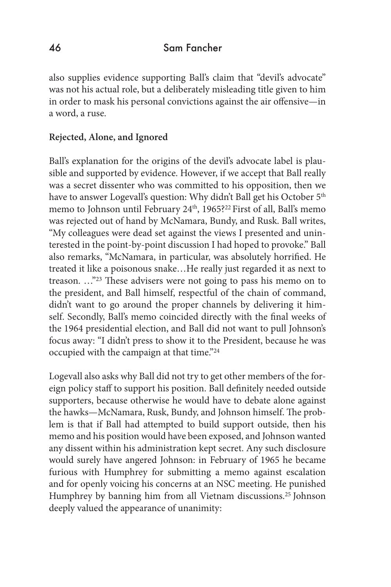also supplies evidence supporting Ball's claim that "devil's advocate" was not his actual role, but a deliberately misleading title given to him in order to mask his personal convictions against the air offensive—in a word, a ruse.

### **Rejected, Alone, and Ignored**

Ball's explanation for the origins of the devil's advocate label is plausible and supported by evidence. However, if we accept that Ball really was a secret dissenter who was committed to his opposition, then we have to answer Logevall's question: Why didn't Ball get his October 5<sup>th</sup> memo to Johnson until February 24<sup>th</sup>, 1965?<sup>22</sup> First of all, Ball's memo was rejected out of hand by McNamara, Bundy, and Rusk. Ball writes, "My colleagues were dead set against the views I presented and uninterested in the point-by-point discussion I had hoped to provoke." Ball also remarks, "McNamara, in particular, was absolutely horrified. He treated it like a poisonous snake…He really just regarded it as next to treason. …"23 These advisers were not going to pass his memo on to the president, and Ball himself, respectful of the chain of command, didn't want to go around the proper channels by delivering it himself. Secondly, Ball's memo coincided directly with the final weeks of the 1964 presidential election, and Ball did not want to pull Johnson's focus away: "I didn't press to show it to the President, because he was occupied with the campaign at that time."24

Logevall also asks why Ball did not try to get other members of the foreign policy staff to support his position. Ball definitely needed outside supporters, because otherwise he would have to debate alone against the hawks—McNamara, Rusk, Bundy, and Johnson himself. The problem is that if Ball had attempted to build support outside, then his memo and his position would have been exposed, and Johnson wanted any dissent within his administration kept secret. Any such disclosure would surely have angered Johnson: in February of 1965 he became furious with Humphrey for submitting a memo against escalation and for openly voicing his concerns at an NSC meeting. He punished Humphrey by banning him from all Vietnam discussions.25 Johnson deeply valued the appearance of unanimity: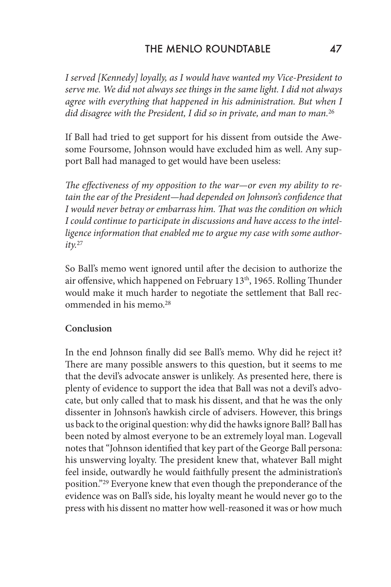## THE MENIO ROUNDTABLE 47

*I served [Kennedy] loyally, as I would have wanted my Vice-President to serve me. We did not always see things in the same light. I did not always agree with everything that happened in his administration. But when I did disagree with the President, I did so in private, and man to man.*<sup>26</sup>

If Ball had tried to get support for his dissent from outside the Awesome Foursome, Johnson would have excluded him as well. Any support Ball had managed to get would have been useless:

*The effectiveness of my opposition to the war—or even my ability to retain the ear of the President—had depended on Johnson's confidence that I would never betray or embarrass him. That was the condition on which I could continue to participate in discussions and have access to the intelligence information that enabled me to argue my case with some authority.*<sup>27</sup>

So Ball's memo went ignored until after the decision to authorize the air offensive, which happened on February 13<sup>th</sup>, 1965. Rolling Thunder would make it much harder to negotiate the settlement that Ball recommended in his memo.28

#### **Conclusion**

In the end Johnson finally did see Ball's memo. Why did he reject it? There are many possible answers to this question, but it seems to me that the devil's advocate answer is unlikely. As presented here, there is plenty of evidence to support the idea that Ball was not a devil's advocate, but only called that to mask his dissent, and that he was the only dissenter in Johnson's hawkish circle of advisers. However, this brings us back to the original question: why did the hawks ignore Ball? Ball has been noted by almost everyone to be an extremely loyal man. Logevall notes that "Johnson identified that key part of the George Ball persona: his unswerving loyalty. The president knew that, whatever Ball might feel inside, outwardly he would faithfully present the administration's position."29 Everyone knew that even though the preponderance of the evidence was on Ball's side, his loyalty meant he would never go to the press with his dissent no matter how well-reasoned it was or how much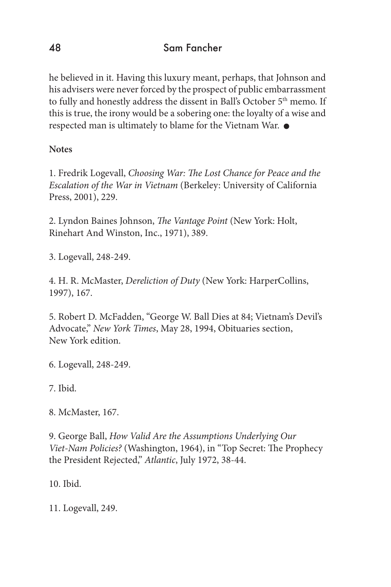he believed in it. Having this luxury meant, perhaps, that Johnson and his advisers were never forced by the prospect of public embarrassment to fully and honestly address the dissent in Ball's October 5<sup>th</sup> memo. If this is true, the irony would be a sobering one: the loyalty of a wise and respected man is ultimately to blame for the Vietnam War.

## **Notes**

1. Fredrik Logevall, *Choosing War: The Lost Chance for Peace and the Escalation of the War in Vietnam* (Berkeley: University of California Press, 2001), 229.

2. Lyndon Baines Johnson, *The Vantage Point* (New York: Holt, Rinehart And Winston, Inc., 1971), 389.

3. Logevall, 248-249.

4. H. R. McMaster, *Dereliction of Duty* (New York: HarperCollins, 1997), 167.

5. Robert D. McFadden, "George W. Ball Dies at 84; Vietnam's Devil's Advocate," *New York Times*, May 28, 1994, Obituaries section, New York edition.

6. Logevall, 248-249.

7. Ibid.

8. McMaster, 167.

9. George Ball, *How Valid Are the Assumptions Underlying Our Viet-Nam Policies?* (Washington, 1964), in "Top Secret: The Prophecy the President Rejected," *Atlantic*, July 1972, 38-44.

10. Ibid.

11. Logevall, 249.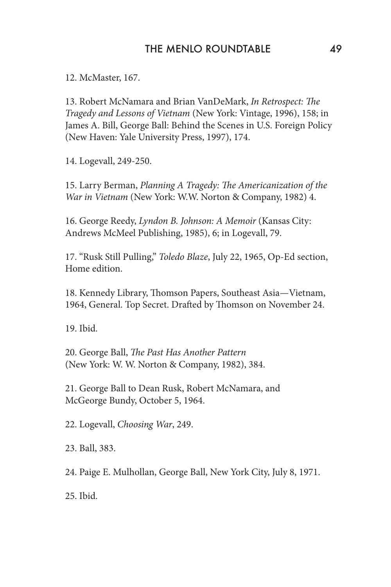12. McMaster, 167.

13. Robert McNamara and Brian VanDeMark, *In Retrospect: The Tragedy and Lessons of Vietnam* (New York: Vintage, 1996), 158; in James A. Bill, George Ball: Behind the Scenes in U.S. Foreign Policy (New Haven: Yale University Press, 1997), 174.

14. Logevall, 249-250.

15. Larry Berman, *Planning A Tragedy: The Americanization of the War in Vietnam* (New York: W.W. Norton & Company, 1982) 4.

16. George Reedy, *Lyndon B. Johnson: A Memoir* (Kansas City: Andrews McMeel Publishing, 1985), 6; in Logevall, 79.

17. "Rusk Still Pulling," *Toledo Blaze*, July 22, 1965, Op-Ed section, Home edition.

18. Kennedy Library, Thomson Papers, Southeast Asia—Vietnam, 1964, General. Top Secret. Drafted by Thomson on November 24.

19. Ibid.

20. George Ball, *The Past Has Another Pattern* (New York: W. W. Norton & Company, 1982), 384.

21. George Ball to Dean Rusk, Robert McNamara, and McGeorge Bundy, October 5, 1964.

22. Logevall, *Choosing War*, 249.

23. Ball, 383.

24. Paige E. Mulhollan, George Ball, New York City, July 8, 1971.

25. Ibid.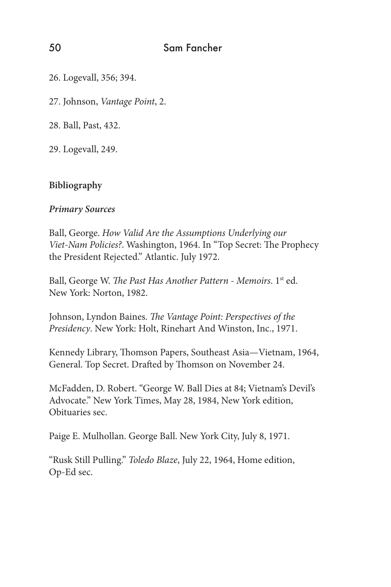26. Logevall, 356; 394.

27. Johnson, *Vantage Point*, 2.

28. Ball, Past, 432.

29. Logevall, 249.

## **Bibliography**

#### *Primary Sources*

Ball, George. *How Valid Are the Assumptions Underlying our Viet-Nam Policies?*. Washington, 1964. In "Top Secret: The Prophecy the President Rejected." Atlantic. July 1972.

Ball, George W. *The Past Has Another Pattern - Memoirs*. 1<sup>st</sup> ed. New York: Norton, 1982.

Johnson, Lyndon Baines. *The Vantage Point: Perspectives of the Presidency*. New York: Holt, Rinehart And Winston, Inc., 1971.

Kennedy Library, Thomson Papers, Southeast Asia—Vietnam, 1964, General. Top Secret. Drafted by Thomson on November 24.

McFadden, D. Robert. "George W. Ball Dies at 84; Vietnam's Devil's Advocate." New York Times, May 28, 1984, New York edition, Obituaries sec.

Paige E. Mulhollan. George Ball. New York City, July 8, 1971.

"Rusk Still Pulling." *Toledo Blaze*, July 22, 1964, Home edition, Op-Ed sec.